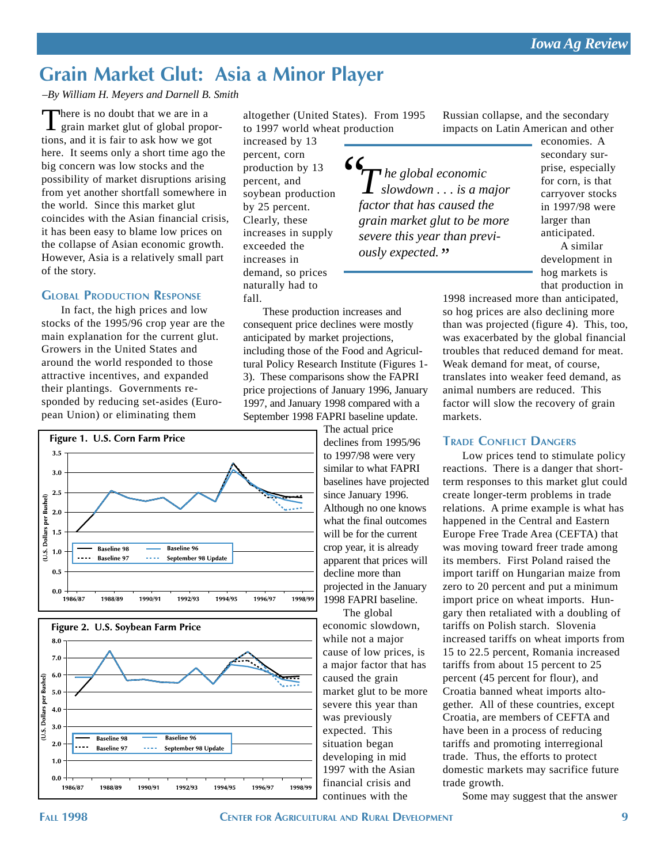# **Grain Market Glut: Asia a Minor Player**

#### *–By William H. Meyers and Darnell B. Smith*

There is no doubt that we are in a<br>grain market glut of global proportions, and it is fair to ask how we got here. It seems only a short time ago the big concern was low stocks and the possibility of market disruptions arising from yet another shortfall somewhere in the world. Since this market glut coincides with the Asian financial crisis, it has been easy to blame low prices on the collapse of Asian economic growth. However, Asia is a relatively small part of the story.

#### **GLOBAL PRODUCTION RESPONSE**

In fact, the high prices and low stocks of the 1995/96 crop year are the main explanation for the current glut. Growers in the United States and around the world responded to those attractive incentives, and expanded their plantings. Governments responded by reducing set-asides (European Union) or eliminating them

altogether (United States). From 1995 to 1997 world wheat production

increased by 13 percent, corn production by 13 percent, and soybean production by 25 percent. Clearly, these increases in supply exceeded the increases in demand, so prices naturally had to fall.

These production increases and consequent price declines were mostly anticipated by market projections, including those of the Food and Agricultural Policy Research Institute (Figures 1- 3). These comparisons show the FAPRI price projections of January 1996, January 1997, and January 1998 compared with a September 1998 FAPRI baseline update.

> The actual price declines from 1995/96 to 1997/98 were very similar to what FAPRI baselines have projected since January 1996. Although no one knows what the final outcomes will be for the current crop year, it is already apparent that prices will decline more than projected in the January 1998 FAPRI baseline.

The global economic slowdown, while not a major cause of low prices, is a major factor that has caused the grain market glut to be more severe this year than was previously expected. This situation began developing in mid 1997 with the Asian financial crisis and continues with the

Russian collapse, and the secondary impacts on Latin American and other

*The global economic* "*slowdown . . . is a major factor that has caused the grain market glut to be more severe this year than previously expected."*

economies. A secondary surprise, especially for corn, is that carryover stocks in 1997/98 were larger than anticipated.

A similar development in hog markets is that production in

1998 increased more than anticipated, so hog prices are also declining more than was projected (figure 4). This, too, was exacerbated by the global financial troubles that reduced demand for meat. Weak demand for meat, of course, translates into weaker feed demand, as animal numbers are reduced. This factor will slow the recovery of grain markets.

#### **TRADE CONFLICT DANGERS**

Low prices tend to stimulate policy reactions. There is a danger that shortterm responses to this market glut could create longer-term problems in trade relations. A prime example is what has happened in the Central and Eastern Europe Free Trade Area (CEFTA) that was moving toward freer trade among its members. First Poland raised the import tariff on Hungarian maize from zero to 20 percent and put a minimum import price on wheat imports. Hungary then retaliated with a doubling of tariffs on Polish starch. Slovenia increased tariffs on wheat imports from 15 to 22.5 percent, Romania increased tariffs from about 15 percent to 25 percent (45 percent for flour), and Croatia banned wheat imports altogether. All of these countries, except Croatia, are members of CEFTA and have been in a process of reducing tariffs and promoting interregional trade. Thus, the efforts to protect domestic markets may sacrifice future trade growth.

Some may suggest that the answer